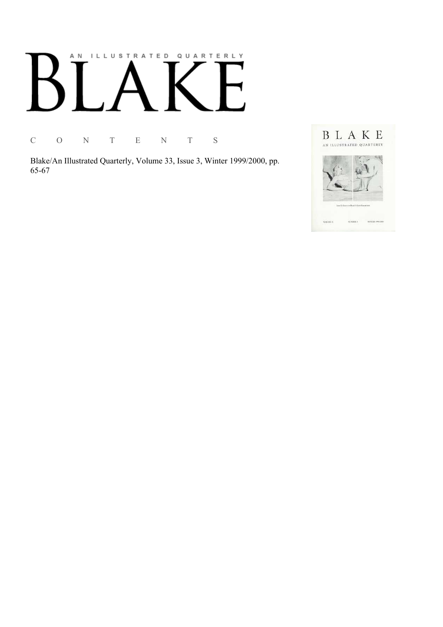# AN ILLUSTRATED QUARTERLY

C O N T E N T S

Blake/An Illustrated Quarterly, Volume 33, Issue 3, Winter 1999/2000, pp. 65-67

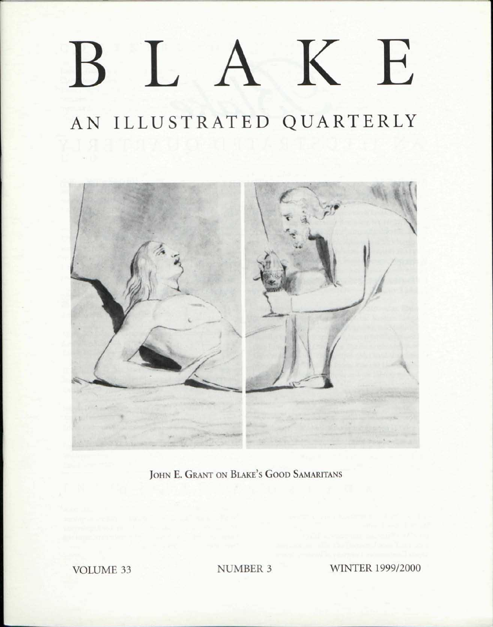## BLAK E

### AN ILLUSTRATED QUARTERLY



JOHN E. GRANT ON BLAKE'S GOOD SAMARITANS

VOLUME 33 NUMBER 3 WINTER 1999/2000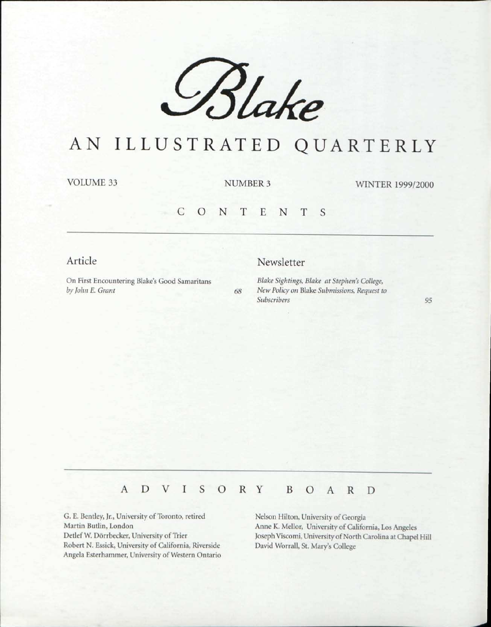

## AN ILLUSTRATED QUARTERLY

VOLUME 33 NUMBER 3

WINTER 1999/2000

#### CONTENT S

Article

#### Newsletter

On First Encountering Blake's Good Samaritans *by John E. Grant 68*  *Blake Sightings, Blake at Stephen's College, New Policy on* Blake *Submissions, Request to Subscribers 95* 

#### ADVISOR Y BOAR D

G. E. Bentley, Jr., University of Toronto, retired Martin Butlin, London Detlef W. Dorrbecker, University of Trier Robert N. Essick, University of California, Riverside Angela Esterhammer, University of Western Ontario Nelson Hilton, University of Georgia Anne K. Mellor, University of California, Los Angeles Joseph Viscomi, University of North Carolina at Chapel Hill David Worrall, St. Mary's College